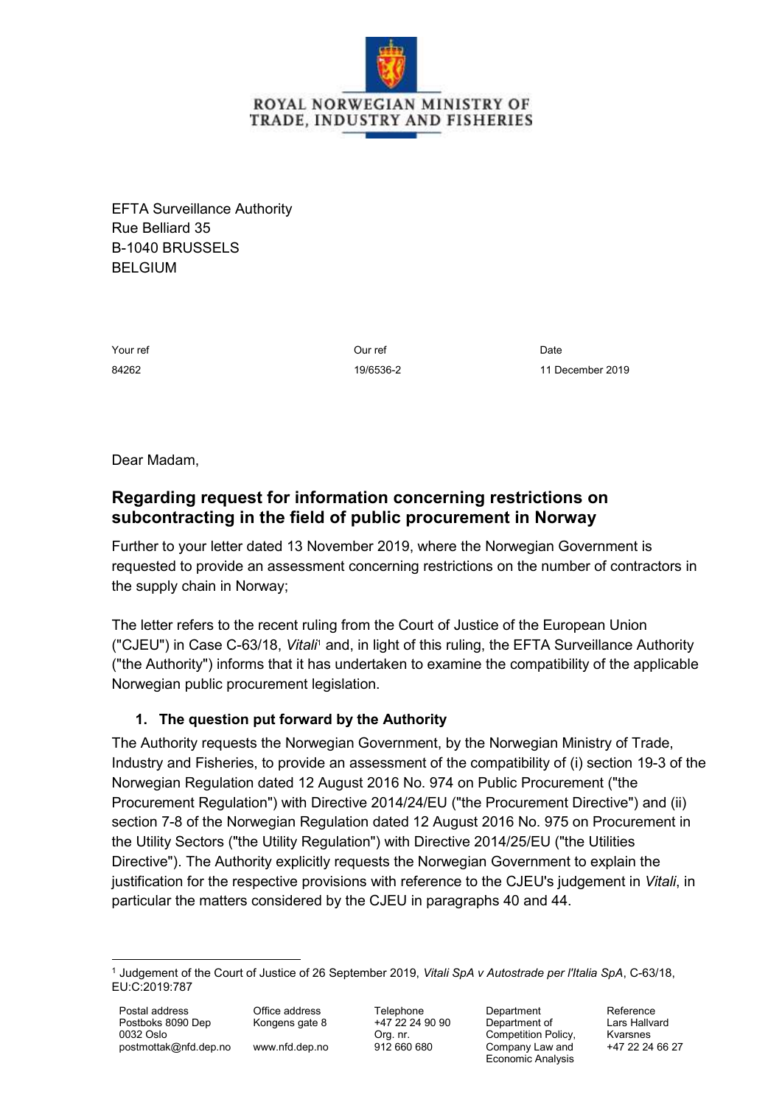

EFTA Surveillance Authority Rue Belliard 35 B-1040 BRUSSELS BELGIUM

Your ref 84262

Our ref 19/6536-2

Date 11 December 2019

Dear Madam,

# **Regarding request for information concerning restrictions on subcontracting in the field of public procurement in Norway**

Further to your letter dated 13 November 2019, where the Norwegian Government is requested to provide an assessment concerning restrictions on the number of contractors in the supply chain in Norway;

The letter refers to the recent ruling from the Court of Justice of the European Union ("CJEU") in Case C-63/18, *Vitali*<sup>1</sup> and, in light of this ruling, the EFTA Surveillance Authority ("the Authority") informs that it has undertaken to examine the compatibility of the applicable Norwegian public procurement legislation.

## **1. The question put forward by the Authority**

The Authority requests the Norwegian Government, by the Norwegian Ministry of Trade, Industry and Fisheries, to provide an assessment of the compatibility of (i) section 19-3 of the Norwegian Regulation dated 12 August 2016 No. 974 on Public Procurement ("the Procurement Regulation") with Directive 2014/24/EU ("the Procurement Directive") and (ii) section 7-8 of the Norwegian Regulation dated 12 August 2016 No. 975 on Procurement in the Utility Sectors ("the Utility Regulation") with Directive 2014/25/EU ("the Utilities Directive"). The Authority explicitly requests the Norwegian Government to explain the justification for the respective provisions with reference to the CJEU's judgement in *Vitali*, in particular the matters considered by the CJEU in paragraphs 40 and 44.

**Department** Department of Competition Policy, Company Law and Economic Analysis

Reference Lars Hallvard Kvarsnes +47 22 24 66 27

<sup>-</sup><sup>1</sup> Judgement of the Court of Justice of 26 September 2019, *Vitali SpA v Autostrade per l'Italia SpA*, C-63/18, EU:C:2019:787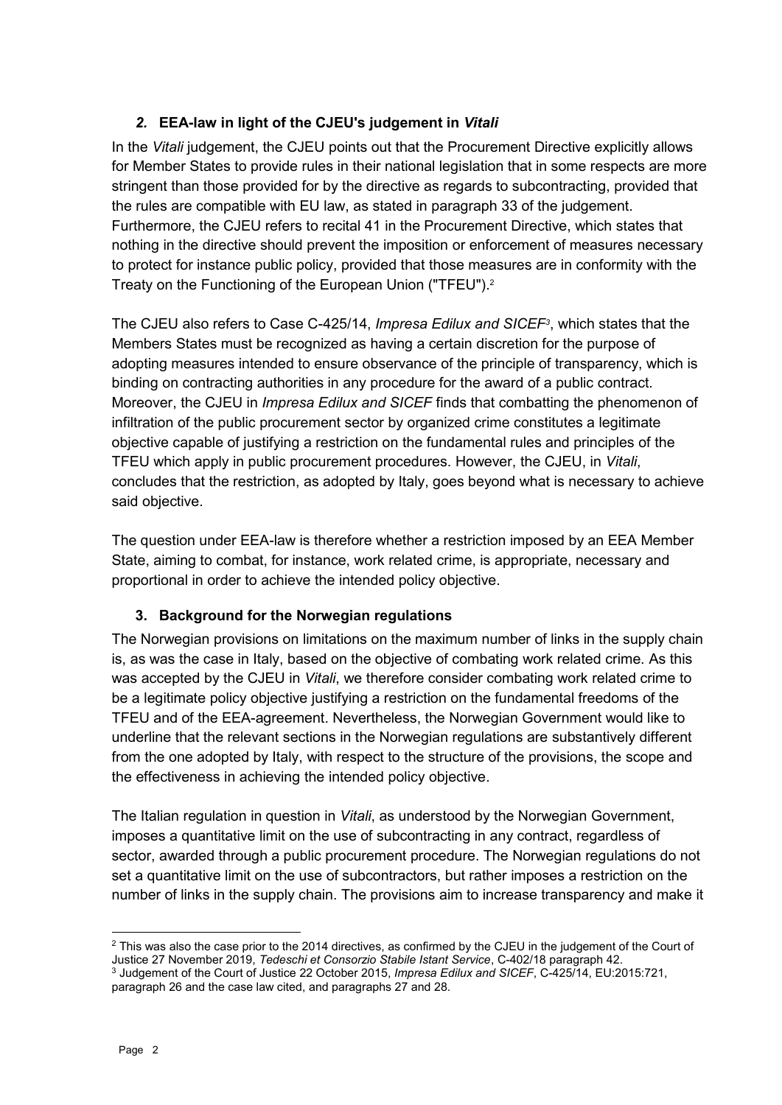## *2.* **EEA-law in light of the CJEU's judgement in** *Vitali*

In the *Vitali* judgement, the CJEU points out that the Procurement Directive explicitly allows for Member States to provide rules in their national legislation that in some respects are more stringent than those provided for by the directive as regards to subcontracting, provided that the rules are compatible with EU law, as stated in paragraph 33 of the judgement. Furthermore, the CJEU refers to recital 41 in the Procurement Directive, which states that nothing in the directive should prevent the imposition or enforcement of measures necessary to protect for instance public policy, provided that those measures are in conformity with the Treaty on the Functioning of the European Union ("TFEU"). 2

The CJEU also refers to Case C-425/14, *Impresa Edilux and SICEF<sup>3</sup>* , which states that the Members States must be recognized as having a certain discretion for the purpose of adopting measures intended to ensure observance of the principle of transparency, which is binding on contracting authorities in any procedure for the award of a public contract. Moreover, the CJEU in *Impresa Edilux and SICEF* finds that combatting the phenomenon of infiltration of the public procurement sector by organized crime constitutes a legitimate objective capable of justifying a restriction on the fundamental rules and principles of the TFEU which apply in public procurement procedures. However, the CJEU, in *Vitali*, concludes that the restriction, as adopted by Italy, goes beyond what is necessary to achieve said objective.

The question under EEA-law is therefore whether a restriction imposed by an EEA Member State, aiming to combat, for instance, work related crime, is appropriate, necessary and proportional in order to achieve the intended policy objective.

#### **3. Background for the Norwegian regulations**

The Norwegian provisions on limitations on the maximum number of links in the supply chain is, as was the case in Italy, based on the objective of combating work related crime. As this was accepted by the CJEU in *Vitali*, we therefore consider combating work related crime to be a legitimate policy objective justifying a restriction on the fundamental freedoms of the TFEU and of the EEA-agreement. Nevertheless, the Norwegian Government would like to underline that the relevant sections in the Norwegian regulations are substantively different from the one adopted by Italy, with respect to the structure of the provisions, the scope and the effectiveness in achieving the intended policy objective.

The Italian regulation in question in *Vitali*, as understood by the Norwegian Government, imposes a quantitative limit on the use of subcontracting in any contract, regardless of sector, awarded through a public procurement procedure. The Norwegian regulations do not set a quantitative limit on the use of subcontractors, but rather imposes a restriction on the number of links in the supply chain. The provisions aim to increase transparency and make it

-

<sup>&</sup>lt;sup>2</sup> This was also the case prior to the 2014 directives, as confirmed by the CJEU in the judgement of the Court of Justice 27 November 2019, *Tedeschi et Consorzio Stabile Istant Service*, C-402/18 paragraph 42.

<sup>3</sup> Judgement of the Court of Justice 22 October 2015, *Impresa Edilux and SICEF*, C-425/14, EU:2015:721, paragraph 26 and the case law cited, and paragraphs 27 and 28.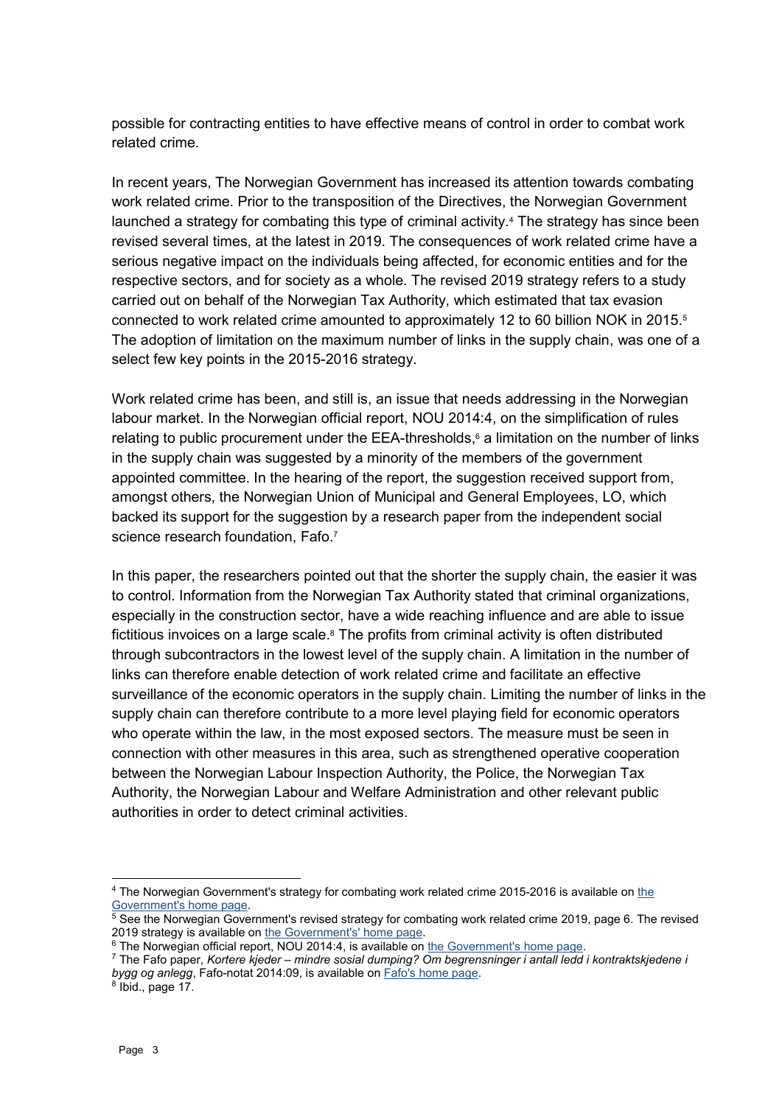possible for contracting entities to have effective means of control in order to combat work related crime.

In recent years, The Norwegian Government has increased its attention towards combating work related crime. Prior to the transposition of the Directives, the Norwegian Government launched a strategy for combating this type of criminal activity. <sup>4</sup> The strategy has since been revised several times, at the latest in 2019. The consequences of work related crime have a serious negative impact on the individuals being affected, for economic entities and for the respective sectors, and for society as a whole. The revised 2019 strategy refers to a study carried out on behalf of the Norwegian Tax Authority, which estimated that tax evasion connected to work related crime amounted to approximately 12 to 60 billion NOK in 2015.<sup>5</sup> The adoption of limitation on the maximum number of links in the supply chain, was one of a select few key points in the 2015-2016 strategy.

Work related crime has been, and still is, an issue that needs addressing in the Norwegian labour market. In the Norwegian official report, NOU 2014:4, on the simplification of rules relating to public procurement under the EEA-thresholds, <sup>6</sup> a limitation on the number of links in the supply chain was suggested by a minority of the members of the government appointed committee. In the hearing of the report, the suggestion received support from, amongst others, the Norwegian Union of Municipal and General Employees, LO, which backed its support for the suggestion by a research paper from the independent social science research foundation, Fafo.<sup>7</sup>

In this paper, the researchers pointed out that the shorter the supply chain, the easier it was to control. Information from the Norwegian Tax Authority stated that criminal organizations, especially in the construction sector, have a wide reaching influence and are able to issue fictitious invoices on a large scale.<sup>8</sup> The profits from criminal activity is often distributed through subcontractors in the lowest level of the supply chain. A limitation in the number of links can therefore enable detection of work related crime and facilitate an effective surveillance of the economic operators in the supply chain. Limiting the number of links in the supply chain can therefore contribute to a more level playing field for economic operators who operate within the law, in the most exposed sectors. The measure must be seen in connection with other measures in this area, such as strengthened operative cooperation between the Norwegian Labour Inspection Authority, the Police, the Norwegian Tax Authority, the Norwegian Labour and Welfare Administration and other relevant public authorities in order to detect criminal activities.

1

<sup>4</sup> The Norwegian Government's strategy for combating work related crime 2015-2016 is available o[n the](https://www.regjeringen.no/no/dokumenter/strategi-mot-arbeidslivskriminalitet/id2359493/)  [Government's home page.](https://www.regjeringen.no/no/dokumenter/strategi-mot-arbeidslivskriminalitet/id2359493/)

<sup>5</sup> See the Norwegian Government's revised strategy for combating work related crime 2019, page 6. The revised 2019 strategy is available o[n the Government's' home page.](https://www.regjeringen.no/contentassets/7f4788717a724ef79921004f211350b5/no/pdfs/strategi-mot-arbedslivskriminalitet-2019.pdf)

<sup>6</sup> The Norwegian official report, NOU 2014:4, is available o[n the Government's](https://www.regjeringen.no/no/dokumenter/NOU-2014-4/id761768/sec1) home page.

<sup>7</sup> The Fafo paper, *Kortere kjeder – mindre sosial dumping? Om begrensninger i antall ledd i kontraktskjedene i bygg og anlegg*, Fafo-notat 2014:09, is available on [Fafo's home page.](https://www.fafo.no/images/pub/2014/10196.pdf)

 $8$  lbid., page 17.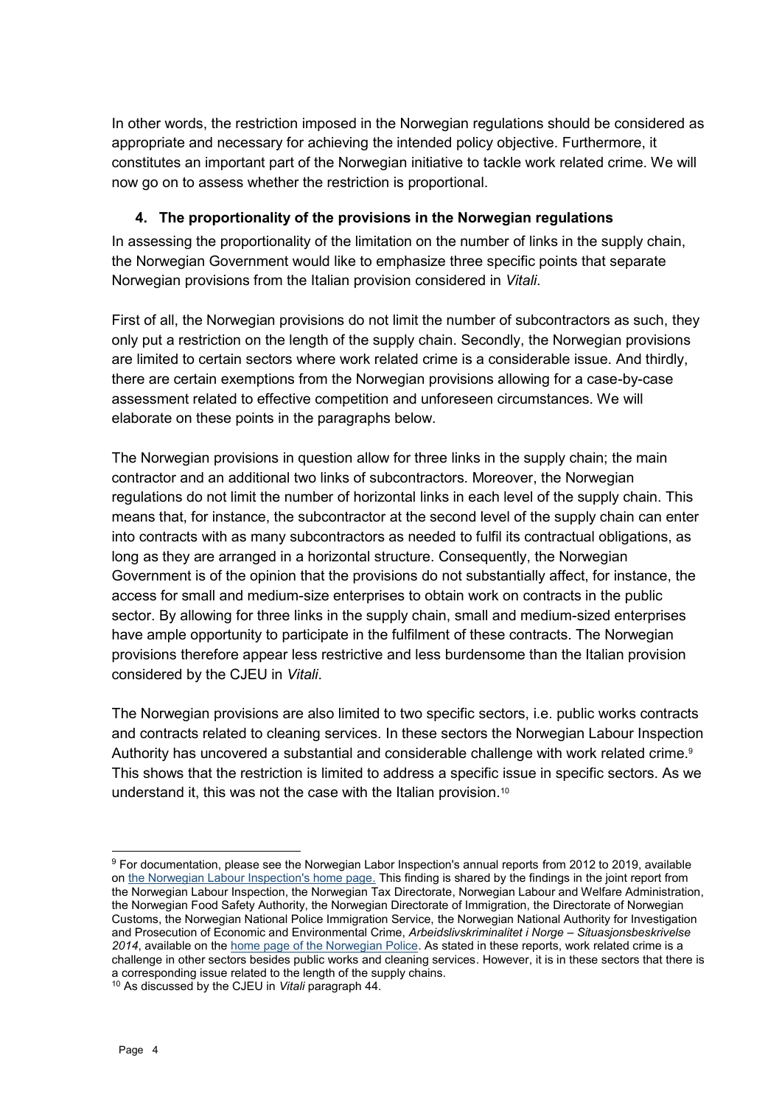In other words, the restriction imposed in the Norwegian regulations should be considered as appropriate and necessary for achieving the intended policy objective. Furthermore, it constitutes an important part of the Norwegian initiative to tackle work related crime. We will now go on to assess whether the restriction is proportional.

### **4. The proportionality of the provisions in the Norwegian regulations**

In assessing the proportionality of the limitation on the number of links in the supply chain, the Norwegian Government would like to emphasize three specific points that separate Norwegian provisions from the Italian provision considered in *Vitali*.

First of all, the Norwegian provisions do not limit the number of subcontractors as such, they only put a restriction on the length of the supply chain. Secondly, the Norwegian provisions are limited to certain sectors where work related crime is a considerable issue. And thirdly, there are certain exemptions from the Norwegian provisions allowing for a case-by-case assessment related to effective competition and unforeseen circumstances. We will elaborate on these points in the paragraphs below.

The Norwegian provisions in question allow for three links in the supply chain; the main contractor and an additional two links of subcontractors. Moreover, the Norwegian regulations do not limit the number of horizontal links in each level of the supply chain. This means that, for instance, the subcontractor at the second level of the supply chain can enter into contracts with as many subcontractors as needed to fulfil its contractual obligations, as long as they are arranged in a horizontal structure. Consequently, the Norwegian Government is of the opinion that the provisions do not substantially affect, for instance, the access for small and medium-size enterprises to obtain work on contracts in the public sector. By allowing for three links in the supply chain, small and medium-sized enterprises have ample opportunity to participate in the fulfilment of these contracts. The Norwegian provisions therefore appear less restrictive and less burdensome than the Italian provision considered by the CJEU in *Vitali*.

The Norwegian provisions are also limited to two specific sectors, i.e. public works contracts and contracts related to cleaning services. In these sectors the Norwegian Labour Inspection Authority has uncovered a substantial and considerable challenge with work related crime.<sup>9</sup> This shows that the restriction is limited to address a specific issue in specific sectors. As we understand it, this was not the case with the Italian provision.<sup>10</sup>

<sup>1</sup> <sup>9</sup> For documentation, please see the Norwegian Labor Inspection's annual reports from 2012 to 2019, available o[n the Norwegian Labour Inspection's home page.](https://www.arbeidstilsynet.no/om-oss/forskning-og-rapporter/arsrapporter/) This finding is shared by the findings in the joint report from the Norwegian Labour Inspection, the Norwegian Tax Directorate, Norwegian Labour and Welfare Administration, the Norwegian Food Safety Authority, the Norwegian Directorate of Immigration, the Directorate of Norwegian Customs, the Norwegian National Police Immigration Service, the Norwegian National Authority for Investigation and Prosecution of Economic and Environmental Crime, *Arbeidslivskriminalitet i Norge – Situasjonsbeskrivelse 2014*, available on th[e home page of the Norwegian Police.](https://www.politiet.no/globalassets/04-aktuelt-tall-og-fakta/arbeidslivskriminalitet/arbeidsmarkedskriminalitet-i-norge---tverretatlig-situasjonsbeskrivelse-2014.pdf) As stated in these reports, work related crime is a challenge in other sectors besides public works and cleaning services. However, it is in these sectors that there is a corresponding issue related to the length of the supply chains.

<sup>10</sup> As discussed by the CJEU in *Vitali* paragraph 44.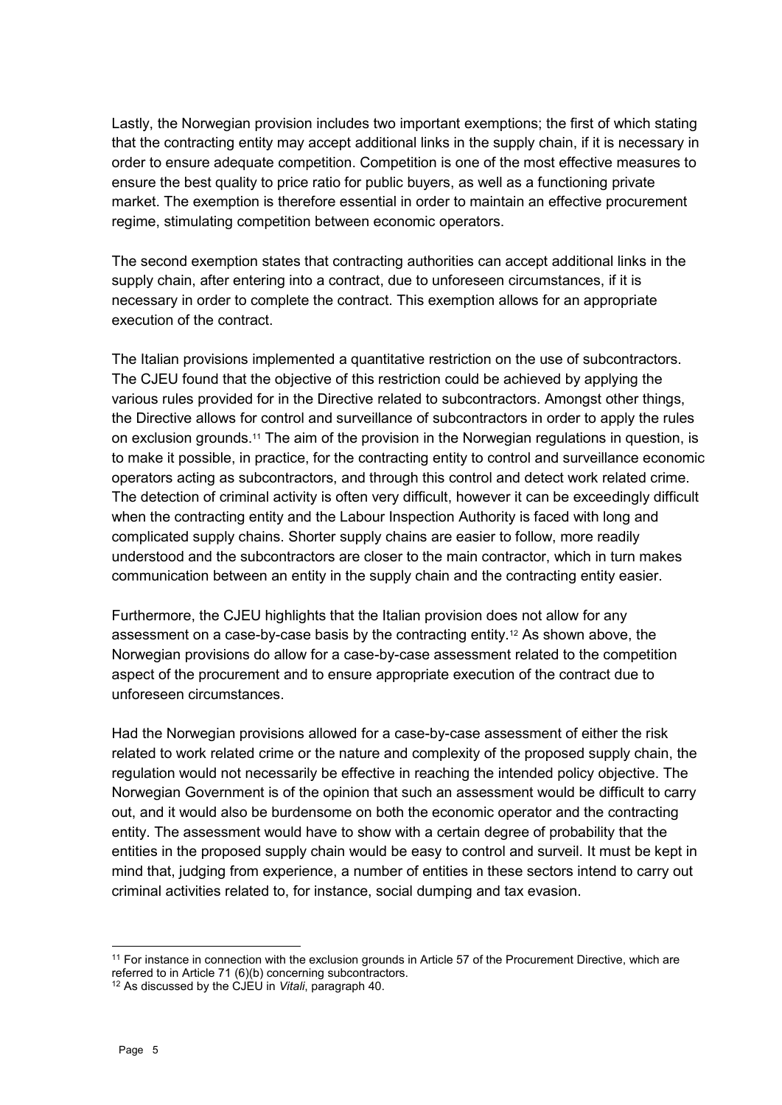Lastly, the Norwegian provision includes two important exemptions; the first of which stating that the contracting entity may accept additional links in the supply chain, if it is necessary in order to ensure adequate competition. Competition is one of the most effective measures to ensure the best quality to price ratio for public buyers, as well as a functioning private market. The exemption is therefore essential in order to maintain an effective procurement regime, stimulating competition between economic operators.

The second exemption states that contracting authorities can accept additional links in the supply chain, after entering into a contract, due to unforeseen circumstances, if it is necessary in order to complete the contract. This exemption allows for an appropriate execution of the contract.

The Italian provisions implemented a quantitative restriction on the use of subcontractors. The CJEU found that the objective of this restriction could be achieved by applying the various rules provided for in the Directive related to subcontractors. Amongst other things, the Directive allows for control and surveillance of subcontractors in order to apply the rules on exclusion grounds.<sup>11</sup> The aim of the provision in the Norwegian regulations in question, is to make it possible, in practice, for the contracting entity to control and surveillance economic operators acting as subcontractors, and through this control and detect work related crime. The detection of criminal activity is often very difficult, however it can be exceedingly difficult when the contracting entity and the Labour Inspection Authority is faced with long and complicated supply chains. Shorter supply chains are easier to follow, more readily understood and the subcontractors are closer to the main contractor, which in turn makes communication between an entity in the supply chain and the contracting entity easier.

Furthermore, the CJEU highlights that the Italian provision does not allow for any assessment on a case-by-case basis by the contracting entity.<sup>12</sup> As shown above, the Norwegian provisions do allow for a case-by-case assessment related to the competition aspect of the procurement and to ensure appropriate execution of the contract due to unforeseen circumstances.

Had the Norwegian provisions allowed for a case-by-case assessment of either the risk related to work related crime or the nature and complexity of the proposed supply chain, the regulation would not necessarily be effective in reaching the intended policy objective. The Norwegian Government is of the opinion that such an assessment would be difficult to carry out, and it would also be burdensome on both the economic operator and the contracting entity. The assessment would have to show with a certain degree of probability that the entities in the proposed supply chain would be easy to control and surveil. It must be kept in mind that, judging from experience, a number of entities in these sectors intend to carry out criminal activities related to, for instance, social dumping and tax evasion.

1

<sup>&</sup>lt;sup>11</sup> For instance in connection with the exclusion grounds in Article 57 of the Procurement Directive, which are referred to in Article 71 (6)(b) concerning subcontractors.

<sup>12</sup> As discussed by the CJEU in *Vitali*, paragraph 40.